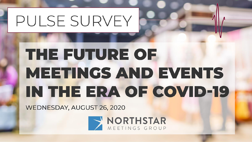# THE FUTURE OF MEETINGS AND EVENTS IN THE ERA OF COVID-19

WEDNESDAY, AUGUST 26, 2020

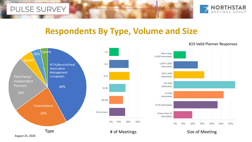

# **Respondents By Type, Volume and Size**



#### 819 Valid Planner Responses



August 25, 2020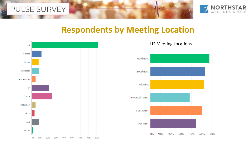



# **Respondents by Meeting Location**



#### US Meeting Locations

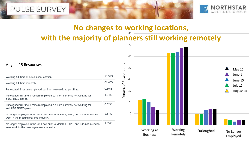

#### **No changes to working locations, with the majority of planners still working remotely**

| Working full time at a business location                                                                                         | 21.52% |
|----------------------------------------------------------------------------------------------------------------------------------|--------|
| Working full time remotely                                                                                                       | 62.60% |
| Furloughed, I remain employed but I am now working part-time.                                                                    | 6.30%  |
| Furloughed full-time, I remain employed but I am currently not working for<br>a DEFINED period.                                  | 1.84%  |
| Furloughed full-time, I remain employed but I am currently not working for<br>an UNDEFINED period.                               | 3.02%  |
| No longer employed in the job I had prior to March 1, 2020, and I intend to seek<br>work in the meetings/events industry.        | 3.67%  |
| No longer employed in the job I had prior to March 1, 2020, and I do not intend to<br>seek work in the meetings/events industry. | 1.05%  |

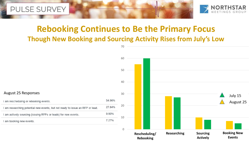



# **Rebooking Continues to Be the Primary Focus Though New Booking and Sourcing Activity Rises from July's Low**

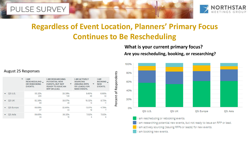

# **Regardless of Event Location, Planners' Primary Focus Continues to Be Rescheduling**

**Are you rescheduling, booking, or researching? What is your current primary focus?**



August 25 Responses

| $\checkmark$ | <b>IAM</b><br>RESCHEDULING _<br>OR REBOOKING<br><b>EVENTS.</b> | <b>I AM RESEARCHING</b><br><b>POTENTIAL NEW</b><br><b>EVENTS, BUT NOT</b><br>▼<br><b>READY TO ISSUE AN</b><br>RFP OR LEAD. | <b>I AM ACTIVELY</b><br><b>SOURCING</b><br>(ISSUING RFPS<br>▼<br><b>OR LEADS) FOR</b><br><b>NEW EVENTS.</b> | <b>IAM</b><br><b>BOOKING</b><br><b>NEW</b><br><b>EVENTS.</b> |
|--------------|----------------------------------------------------------------|----------------------------------------------------------------------------------------------------------------------------|-------------------------------------------------------------------------------------------------------------|--------------------------------------------------------------|
| Q3: U.S.     | 55.32%<br>265                                                  | 28.39%<br>136                                                                                                              | 9.60%<br>46                                                                                                 | 6.68%<br>32                                                  |
| 03: UK       | 52.38%<br>66                                                   | 28,57%<br>36                                                                                                               | 10.32%<br>13                                                                                                | 8.73%<br>11                                                  |
| O3: Europe   | 59.59%<br>87                                                   | 22,60%<br>33                                                                                                               | 13,01%<br>19                                                                                                | 4.79%                                                        |
| Q3: Asia     | 59.65%<br>34                                                   | 26.32%<br>15                                                                                                               | 7.02%<br>4                                                                                                  | 7.02%                                                        |
|              |                                                                |                                                                                                                            |                                                                                                             |                                                              |

am rescheduling or rebooking events.

am researching potential new events, but not ready to issue an RFP or lead.

am actively sourcing (issuing RFPs or leads) for new events.

am booking new events.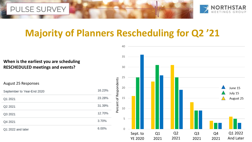



# **Majority of Planners Rescheduling for Q2 '21**

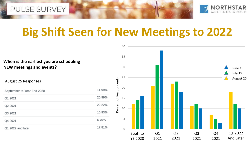



# **Big Shift Seen for New Meetings to 2022**

**When is the earliest you are scheduling NEW meetings and events?**

| September to Year-End 2020 | 11.99% |
|----------------------------|--------|
| Q1 2021                    | 20.99% |
| Q2 2021                    | 22.22% |
| Q3 2021                    | 10.93% |
| Q4 2021                    | 6.70%  |
| Q1 2022 and later          | 17.81% |

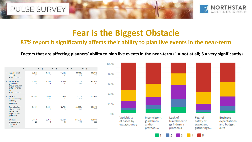



# **Fear is the Biggest Obstacle**

#### **87% report it significantly affects their ability to plan live events in the near-term**

#### **Factors that are affecting planners' ability to plan live events in the near-term (1 = not at all; 5 = very significantly)**

|                                                                                      | 1            | $\overline{2}$ | $\overline{3}$ | $\overline{4}$ | 5             |
|--------------------------------------------------------------------------------------|--------------|----------------|----------------|----------------|---------------|
| Variability of<br>cases by<br>state/country                                          | 6.51%<br>37  | 2.99%<br>17    | 14.44%<br>82   | 22.18%<br>126  | 53.87%<br>306 |
| Inconsistent<br>guidelines<br>and/or protocol<br>enforcements<br>by<br>state/country | 8.55%<br>49  | 6.81%<br>39    | 16.23%<br>93   | 27.05%<br>155  | 41.36%<br>237 |
| Lack of<br>travel/meetings<br>industry<br>protocols                                  | 12.39%<br>71 | 15.71%<br>90   | 27.40%<br>157  | 23.56%<br>135  | 20.94%<br>120 |
| Fear of safety<br>of travel and<br>gatherings,<br>regardless of<br>protocols         | 2.43%<br>14  | 3.30%<br>19    | 12.70%<br>73   | 23.30%<br>134  | 58.26%<br>335 |
| <b>Business</b><br>expectations<br>and budget<br>cuts                                | 5.04%<br>29  | 8.35%<br>48    | 19.48%<br>112  | 28.87%<br>166  | 38.26%<br>220 |



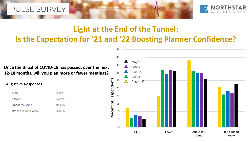



# **Light at the End of the Tunnel: Is the Expectation for '21 and '22 Boosting Planner Confidence?**

**Once the threat of COVID-19 has passed, over the next 12-18 months, will you plan more or fewer meetings?**

| More                   | 11.81% |
|------------------------|--------|
| Fewer                  | 19.97% |
| About the same         | 42.53% |
| It's too soon to know. | 25.69% |

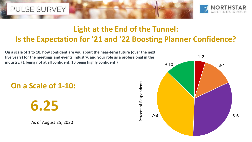



### **Light at the End of the Tunnel: Is the Expectation for '21 and '22 Boosting Planner Confidence?**

Percent of Respondents

**On a scale of 1 to 10, how confident are you about the near-term future (over the next five years) for the meetings and events industry, and your role as a professional in the industry. (1 being not at all confident, 10 being highly confident.)**

**On a Scale of 1-10:**

**6.25**

As of August 25, 2020

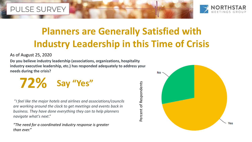

# **Planners are Generally Satisfied with Industry Leadership in this Time of Crisis**

Percent of Respondents

Percent of Respondents

#### As of August 25, 2020

**Do you believe industry leadership (associations, organizations, hospitality industry executive leadership, etc.) has responded adequately to address your needs during the crisis?**

**72% Say "Yes"**

"*I feel like the major hotels and airlines and associations/councils are working around the clock to get meetings and events back in business. They have done everything they can to help planners navigate what's next*."

*"The need for a coordinated industry response is greater than ever."*

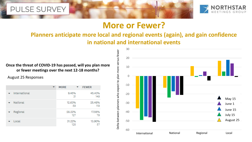

### **More or Fewer?**

#### **Planners anticipate more local and regional events (again), and gain confidence in national and international events**

**Once the threat of COVID-19 has passed, will you plan more or fewer meetings over the next 12-18 months?**

|               | <b>MORE</b> |     | <b>FEWER</b>  |
|---------------|-------------|-----|---------------|
| International | 9.45%       | -31 | 45.43%<br>149 |
| National      | 12.63%      | 59  | 25.48%<br>119 |
| Regional      | 28.22%      | 127 | 17.56%<br>79  |
| Local         | 31.22%      | 128 | 13.90%<br>57  |



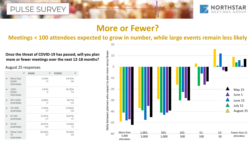

# **More or Fewer?**

**Meetings < 100 attendees expected to grow in number, while large events remain less likely**

**Once the threat of COVID-19 has passed, will you plan more or fewer meetings over the next 12-18 months?**

|                                 | <b>MORE</b> |             | <b>FEWER</b> |               |  |
|---------------------------------|-------------|-------------|--------------|---------------|--|
| More than<br>5,000<br>attendees |             | 5.46%<br>10 |              | 54.10%<br>99  |  |
| $1,001 -$<br>5,000<br>attendees |             | 4.81%<br>13 |              | 42.22%<br>114 |  |
| 501-1,000<br>attendees          |             | 8.88%<br>31 |              | 38.11%<br>133 |  |
| 101-500<br>attendees            | 11.40%      | 57          |              | 27.60%<br>138 |  |
| 51-100<br>attendees             | 21.67%      | 101         |              | 18.67%<br>87  |  |
| $15 - 50$<br>attendees          | 30.51%      | 144         |              | 14.83%<br>70  |  |
| Fewer than<br>15<br>attendees   | 26.58%      | 97          |              | 18.08%<br>66  |  |

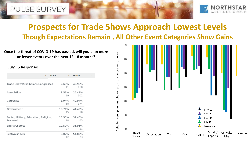

# **Prospects for Trade Shows Approach Lowest Levels Though Expectations Remain , All Other Event Categories Show Gains**

#### **Once the threat of COVID-19 has passed, will you plan more or fewer events over the next 12-18 months?**

 $\blacktriangledown$ 

#### July 15 Responses

| <b>MORE</b>                                         |              | <b>FEWER</b>  |
|-----------------------------------------------------|--------------|---------------|
| Trade Shows/Exhibitions/Congresses                  | 2.68%<br>11  | 40.98%<br>168 |
| Association                                         | 7.51%<br>29  | 26.42%<br>102 |
| Corporate                                           | 8.94%<br>38  | 40.94%<br>174 |
| Government                                          | 10.71%<br>15 | 41.43%<br>58  |
| Social, Military, Education, Religion,<br>Fraternal | 13.53%<br>28 | 31.40%<br>65  |
| Sports/Esports                                      | 19.57%<br>27 | 36.96%<br>51  |
| Festivals/Fairs                                     | 9.02%<br>12  | 54.89%<br>73  |

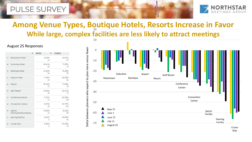

# **Among Venue Types, Boutique Hotels, Resorts Increase in Favor** 20**While large, complex facilities are less likely to attract meetings**

|                                  | <b>MORE</b>  | <b>FEWER</b>  |
|----------------------------------|--------------|---------------|
| Downtown Hotel                   | 6.32%<br>32  | 23.91%<br>121 |
| Suburban Hotel                   | 16,43%<br>68 | 17.87%<br>74  |
| <b>Boutique Hotel</b>            | 21.82%<br>84 | 14.29%<br>55  |
| Airport Hotel                    | 11.36%<br>35 | 26.62%<br>82  |
| Resort                           | 18.54%<br>79 | 17.84%<br>76  |
| <b>Golf Resort</b>               | 13.95%<br>42 | 20.27%<br>61  |
| <b>Conference Center</b>         | 11.03%<br>43 | 25.38%<br>99  |
| <b>Convention Center</b>         | 9.97%<br>35  | 30.77%<br>108 |
| Sports<br>Facility/Stadium/Arena | 13.69%<br>23 | 35.12%<br>59  |
| <b>Gaming Facility</b>           | 5.80%<br>8   | 45.65%<br>63  |
| Cruise Ship                      | 6.96%<br>8   | 67.83%<br>78  |

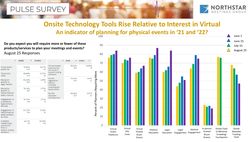![](_page_16_Picture_1.jpeg)

Onsite Attendee Tracking Tools

June 1 June 15 July 15 August 25

### **Onsite Technology Tools Rise Relative to Interest in Virtual An indicator of planning for physical events in '21 and '22?**

**Do you expect you will require more or fewer of these**  90 **products/services to plan your meetings and events?** August 25 Responses 80  $\times$  MORE  $\blacktriangleright$  FFWER FEWER 70 58.53% 18.90% Virtual hosted-Virtual event 75,80% 12.01% 72 buyer events 223 platforms 404 64 and fams to More 60 Percent of Planners Requiring More support buying Virtual site 69.66% 13.77% decisions 349 69 visits 5.69% 76.85% On-site Requiring Education 60.29% 3.95% 405 30 registration 50 specific to 290 19 tools to legal matters minimize crowding and 76.48% Education 3.75% touch points 40 specific to 387 19 Planners health/medical 68.22% 6.67% On-site safety matters 30 attendee-307 tracking tools 30 44.42% 3.57% Engagement of professional 199 16 legal advisory Percent of services 20 64,47% 5.26% Engagement of health/medical 294 24 safety advisory 10 services 23.31% 35.59% In-person, 93 142 hosted-buyer  $\Omega$ events and fams to Virtual In-person Onsite Tools Virtual Virtual Medical Legal Legal Medical support buying Site to Minimize Event Hosted Hosted decisions Education Engagement Engagement Education Visits Buyer Buyer Crowding/ Platforms Events Events Touchpoints

100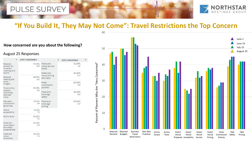![](_page_17_Picture_1.jpeg)

### **"If You Build It, They May Not Come": Travel Restrictions the Top Concern**

#### **How concerned are you about the following?**

|                                                         | <b>VERY CONCERNED</b> |                                      | <b>VERY CONCERNED</b> |  |
|---------------------------------------------------------|-----------------------|--------------------------------------|-----------------------|--|
| Reduced<br>demand for<br>in-person<br>meetings and      | 47.36%<br>269         | Hotel and<br>venue service<br>levels | 32.09%<br>181         |  |
| events                                                  |                       | Hotel and                            | 36.38%                |  |
| Reduced<br>meeting and                                  | 49.56%<br>282         | venue pricing<br>and rates           | 207                   |  |
| event<br>budgets                                        |                       | Hotel<br>commission                  | 26.25%<br>126         |  |
| <b>Travel policy</b>                                    | 56.59%                | policies                             |                       |  |
| updates<br>restricting<br>business<br>travel            | 322                   | Food-and-<br>beverage<br>safety      | 39.34%<br>225         |  |
| New best<br>practices for<br>gatherings                 | 35,10%<br>199         | Food-and-<br>beverage<br>pricing     | 40.60%<br>231         |  |
| Airline<br>accessibility                                | 33,15%<br>179         |                                      |                       |  |
| <b>Airline</b> fares                                    | 30.22%<br>162         |                                      |                       |  |
| Hotel and<br>venue health<br>and safety<br>preparedness | 38.29%<br>219         |                                      |                       |  |
| Hotel and<br>venue<br>availability                      | 25.22%<br>143         |                                      |                       |  |

![](_page_17_Figure_6.jpeg)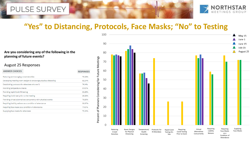![](_page_18_Picture_1.jpeg)

### **"Yes" to Distancing, Protocols, Face Masks; "No" to Testing**

#### **Are you considering any of the following in the planning of future events?**

| <b>ANSWER CHOICES</b>                                            | <b>RESPONSES</b> |
|------------------------------------------------------------------|------------------|
| Reducing and managing crowd densities                            | 78.28%           |
| Developing meeting room designs to encourage physical distancing | 82.24%           |
| Establishing protocols for attendees who are ill                 | 74.14%           |
| Providing temperature checks                                     | 57.07%           |
| Providing rapid Covid-19 testing                                 | 25.69%           |
| Requiring Covid test prior to the meeting                        | 26.38%           |
| Providing virtual alternatives concurrently with physical events | 76.55%           |
| Requiring liability waivers as a condition of attendance         | 58.97%           |
| Requiring face masks as a condition of attendance                | 77.07%           |
| Supplying face masks for attendees                               | 79.94%           |

![](_page_18_Figure_6.jpeg)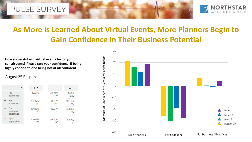![](_page_19_Picture_1.jpeg)

# **As More is Learned About Virtual Events, More Planners Begin to Gain Confidence in Their Business Potential**

**How successful will virtual events be for your constituents? Please rate your confidence, 5 being highly confident, one being not at all confident**

|                               | $1 - 2$       | 3             | $4 - 5$       |
|-------------------------------|---------------|---------------|---------------|
| For                           | 22.81%        | 32.98%        | 44.21%        |
| attendees                     | 130           | 188           | 252           |
| For                           | 44.82%        | 35,71%        | 19,46%        |
| sponsors                      | 251           | 200           | 109           |
| For<br>business<br>objectives | 27.29%<br>155 | 38.91%<br>221 | 33.80%<br>192 |
| <b>Not</b>                    | 53.03%        | 30.30%        | 16.67%        |
| applicable                    | 70            | 40            | 22            |

![](_page_19_Figure_6.jpeg)